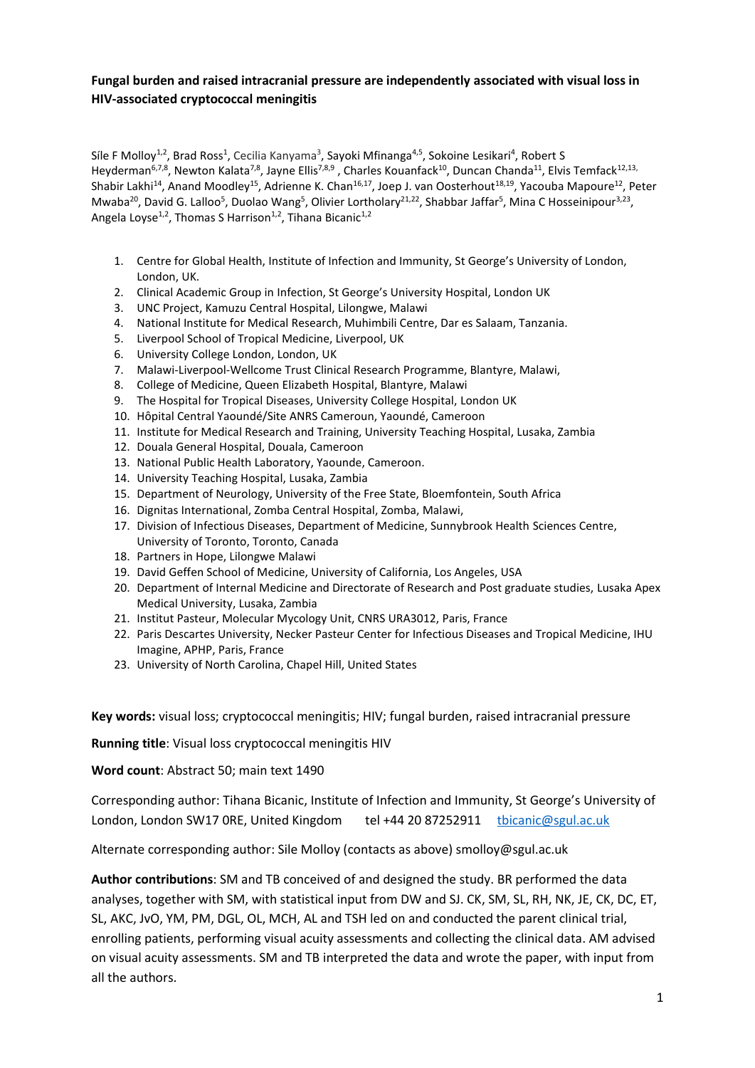# **Fungal burden and raised intracranial pressure are independently associated with visual loss in HIV-associated cryptococcal meningitis**

Síle F Molloy<sup>1,2</sup>, Brad Ross<sup>1</sup>, Cecilia Kanyama<sup>3</sup>, Sayoki Mfinanga<sup>4,5</sup>, Sokoine Lesikari<sup>4</sup>, Robert S Heyderman<sup>6,7,8</sup>, Newton Kalata<sup>7,8</sup>, Jayne Ellis<sup>7,8,9</sup>, Charles Kouanfack<sup>10</sup>, Duncan Chanda<sup>11</sup>, Elvis Temfack<sup>12,13,</sup> Shabir Lakhi<sup>14</sup>, Anand Moodley<sup>15</sup>, Adrienne K. Chan<sup>16,17</sup>, Joep J. van Oosterhout<sup>18,19</sup>, Yacouba Mapoure<sup>12</sup>, Peter Mwaba<sup>20</sup>, David G. Lalloo<sup>5</sup>, Duolao Wang<sup>5</sup>, Olivier Lortholary<sup>21,22</sup>, Shabbar Jaffar<sup>5</sup>, Mina C Hosseinipour<sup>3,23</sup>, Angela Loyse<sup>1,2</sup>, Thomas S Harrison<sup>1,2</sup>, Tihana Bicanic<sup>1,2</sup>

- 1. Centre for Global Health, Institute of Infection and Immunity, St George's University of London, London, UK.
- 2. Clinical Academic Group in Infection, St George's University Hospital, London UK
- 3. UNC Project, Kamuzu Central Hospital, Lilongwe, Malawi
- 4. National Institute for Medical Research, Muhimbili Centre, Dar es Salaam, Tanzania.
- 5. Liverpool School of Tropical Medicine, Liverpool, UK
- 6. University College London, London, UK
- 7. Malawi-Liverpool-Wellcome Trust Clinical Research Programme, Blantyre, Malawi,
- 8. College of Medicine, Queen Elizabeth Hospital, Blantyre, Malawi
- 9. The Hospital for Tropical Diseases, University College Hospital, London UK
- 10. Hôpital Central Yaoundé/Site ANRS Cameroun, Yaoundé, Cameroon
- 11. Institute for Medical Research and Training, University Teaching Hospital, Lusaka, Zambia
- 12. Douala General Hospital, Douala, Cameroon
- 13. National Public Health Laboratory, Yaounde, Cameroon.
- 14. University Teaching Hospital, Lusaka, Zambia
- 15. Department of Neurology, University of the Free State, Bloemfontein, South Africa
- 16. Dignitas International, Zomba Central Hospital, Zomba, Malawi,
- 17. Division of Infectious Diseases, Department of Medicine, Sunnybrook Health Sciences Centre, University of Toronto, Toronto, Canada
- 18. Partners in Hope, Lilongwe Malawi
- 19. David Geffen School of Medicine, University of California, Los Angeles, USA
- 20. Department of Internal Medicine and Directorate of Research and Post graduate studies, Lusaka Apex Medical University, Lusaka, Zambia
- 21. Institut Pasteur, Molecular Mycology Unit, CNRS URA3012, Paris, France
- 22. Paris Descartes University, Necker Pasteur Center for Infectious Diseases and Tropical Medicine, IHU Imagine, APHP, Paris, France
- 23. University of North Carolina, Chapel Hill, United States

**Key words:** visual loss; cryptococcal meningitis; HIV; fungal burden, raised intracranial pressure

**Running title**: Visual loss cryptococcal meningitis HIV

**Word count**: Abstract 50; main text 1490

Corresponding author: Tihana Bicanic, Institute of Infection and Immunity, St George's University of London, London SW17 ORE, United Kingdom tel +44 20 87252911 [tbicanic@sgul.ac.uk](mailto:tbicanic@sgul.ac.uk)

Alternate corresponding author: Sile Molloy (contacts as above) smolloy@sgul.ac.uk

**Author contributions**: SM and TB conceived of and designed the study. BR performed the data analyses, together with SM, with statistical input from DW and SJ. CK, SM, SL, RH, NK, JE, CK, DC, ET, SL, AKC, JvO, YM, PM, DGL, OL, MCH, AL and TSH led on and conducted the parent clinical trial, enrolling patients, performing visual acuity assessments and collecting the clinical data. AM advised on visual acuity assessments. SM and TB interpreted the data and wrote the paper, with input from all the authors.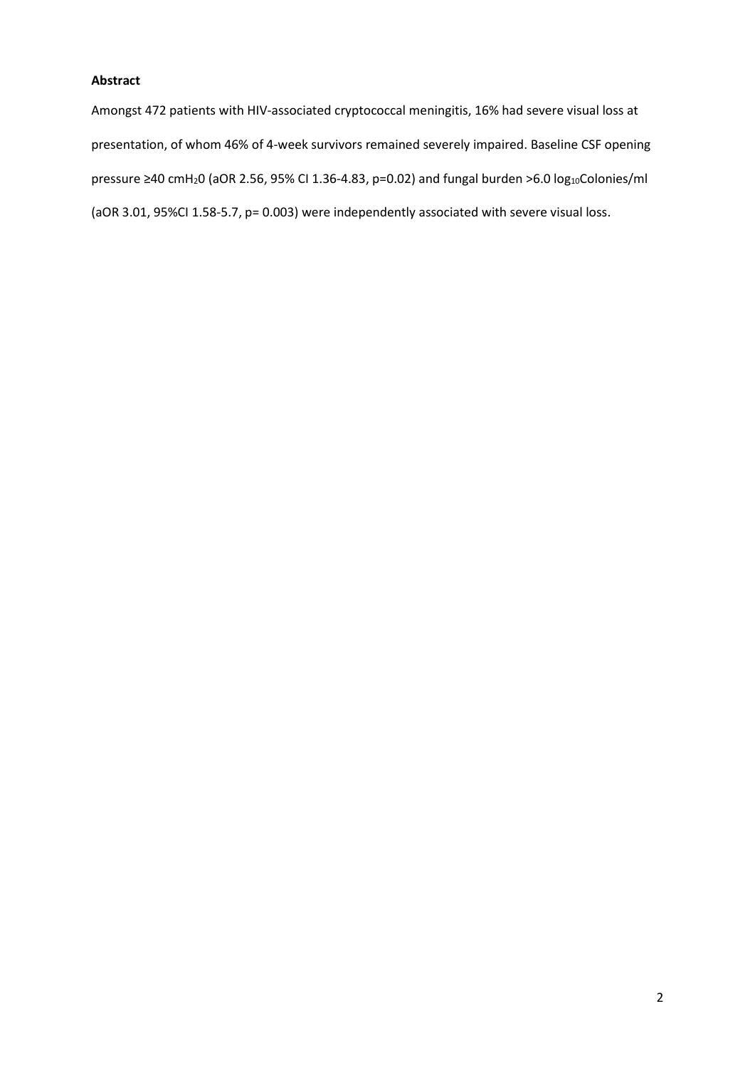# **Abstract**

Amongst 472 patients with HIV-associated cryptococcal meningitis, 16% had severe visual loss at presentation, of whom 46% of 4-week survivors remained severely impaired. Baseline CSF opening pressure ≥40 cmH<sub>2</sub>0 (aOR 2.56, 95% CI 1.36-4.83, p=0.02) and fungal burden >6.0 log<sub>10</sub>Colonies/ml (aOR 3.01, 95%CI 1.58-5.7, p= 0.003) were independently associated with severe visual loss.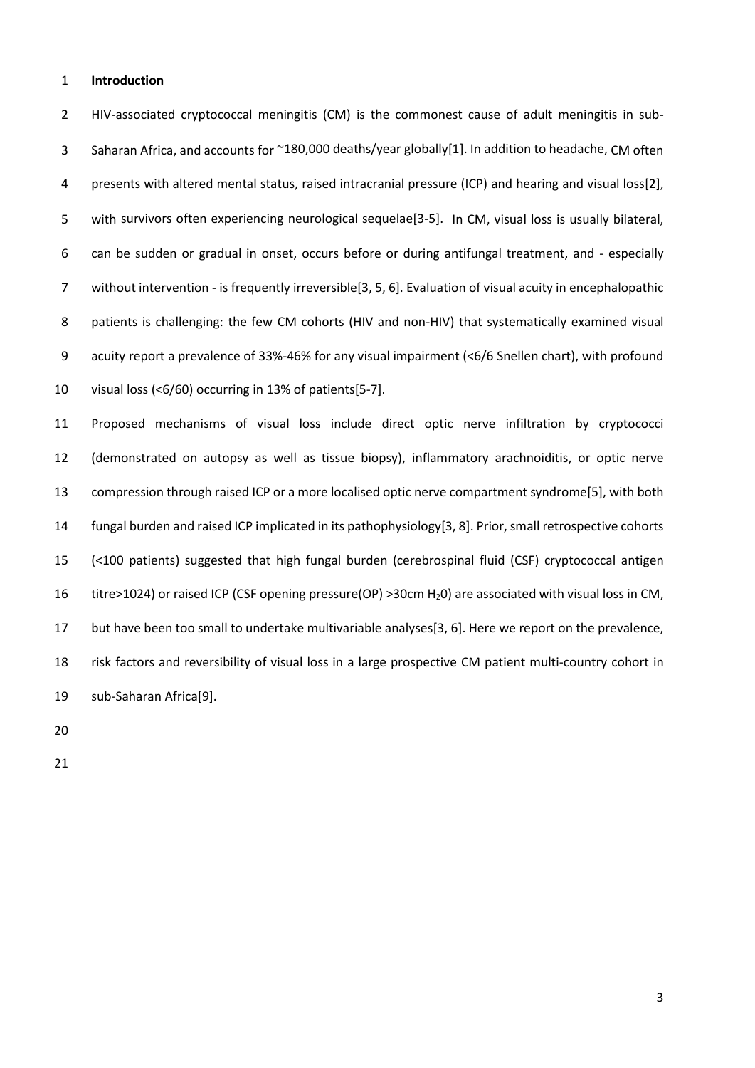### **Introduction**

 HIV-associated cryptococcal meningitis (CM) is the commonest cause of adult meningitis in sub- Saharan Africa, and accounts for ~180,000 deaths/year globally[1]. In addition to headache, CM often presents with altered mental status, raised intracranial pressure (ICP) and hearing and visual loss[2], with survivors often experiencing neurological sequelae[3-5]. In CM, visual loss is usually bilateral, can be sudden or gradual in onset, occurs before or during antifungal treatment, and - especially without intervention - is frequently irreversible[3, 5, 6]. Evaluation of visual acuity in encephalopathic 8 patients is challenging: the few CM cohorts (HIV and non-HIV) that systematically examined visual acuity report a prevalence of 33%-46% for any visual impairment (<6/6 Snellen chart), with profound visual loss (<6/60) occurring in 13% of patients[5-7].

 Proposed mechanisms of visual loss include direct optic nerve infiltration by cryptococci (demonstrated on autopsy as well as tissue biopsy), inflammatory arachnoiditis, or optic nerve compression through raised ICP or a more localised optic nerve compartment syndrome[5], with both fungal burden and raised ICP implicated in its pathophysiology[3, 8]. Prior, small retrospective cohorts (<100 patients) suggested that high fungal burden (cerebrospinal fluid (CSF) cryptococcal antigen titre>1024) or raised ICP (CSF opening pressure(OP) >30cm H20) are associated with visual loss in CM, but have been too small to undertake multivariable analyses[3, 6]. Here we report on the prevalence, risk factors and reversibility of visual loss in a large prospective CM patient multi-country cohort in sub-Saharan Africa[9].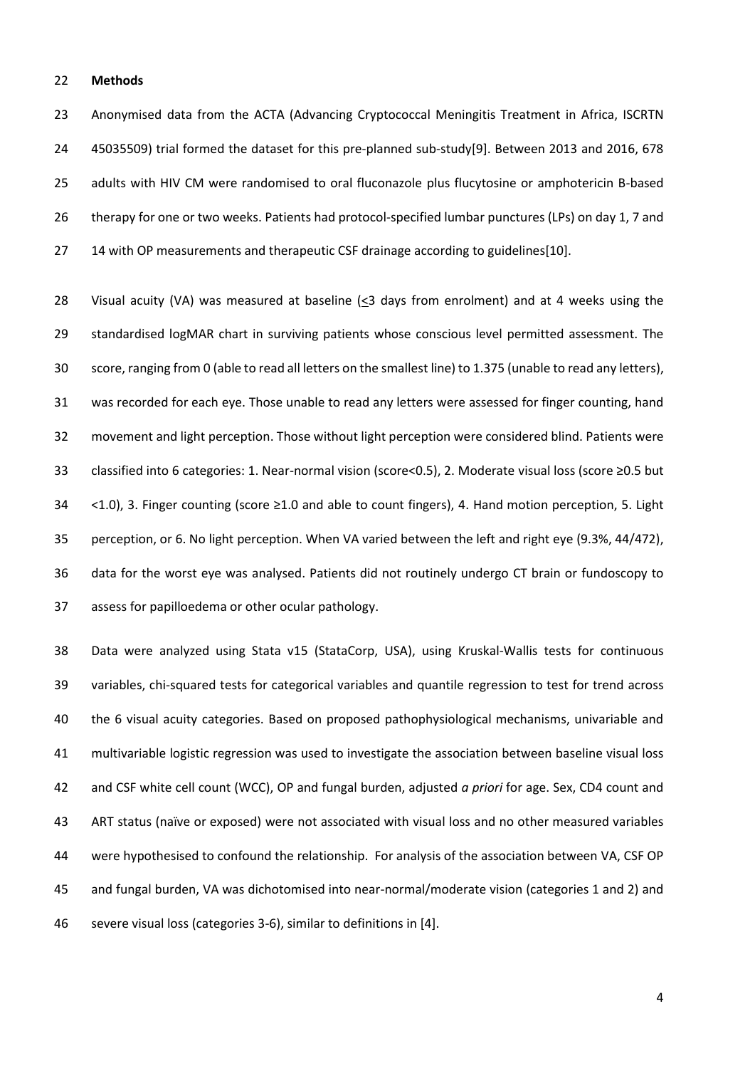### **Methods**

 Anonymised data from the ACTA (Advancing Cryptococcal Meningitis Treatment in Africa, ISCRTN 45035509) trial formed the dataset for this pre-planned sub-study[9]. Between 2013 and 2016, 678 adults with HIV CM were randomised to oral fluconazole plus flucytosine or amphotericin B-based therapy for one or two weeks. Patients had protocol-specified lumbar punctures (LPs) on day 1, 7 and 14 with OP measurements and therapeutic CSF drainage according to guidelines[10].

 Visual acuity (VA) was measured at baseline (<3 days from enrolment) and at 4 weeks using the standardised logMAR chart in surviving patients whose conscious level permitted assessment. The score, ranging from 0 (able to read all letters on the smallest line) to 1.375 (unable to read any letters), was recorded for each eye. Those unable to read any letters were assessed for finger counting, hand movement and light perception. Those without light perception were considered blind. Patients were classified into 6 categories: 1. Near-normal vision (score<0.5), 2. Moderate visual loss (score ≥0.5 but <1.0), 3. Finger counting (score ≥1.0 and able to count fingers), 4. Hand motion perception, 5. Light perception, or 6. No light perception. When VA varied between the left and right eye (9.3%, 44/472), data for the worst eye was analysed. Patients did not routinely undergo CT brain or fundoscopy to assess for papilloedema or other ocular pathology.

 Data were analyzed using Stata v15 (StataCorp, USA), using Kruskal-Wallis tests for continuous variables, chi-squared tests for categorical variables and quantile regression to test for trend across the 6 visual acuity categories. Based on proposed pathophysiological mechanisms, univariable and multivariable logistic regression was used to investigate the association between baseline visual loss and CSF white cell count (WCC), OP and fungal burden, adjusted *a priori* for age. Sex, CD4 count and ART status (naïve or exposed) were not associated with visual loss and no other measured variables were hypothesised to confound the relationship. For analysis of the association between VA, CSF OP and fungal burden, VA was dichotomised into near-normal/moderate vision (categories 1 and 2) and severe visual loss (categories 3-6), similar to definitions in [4].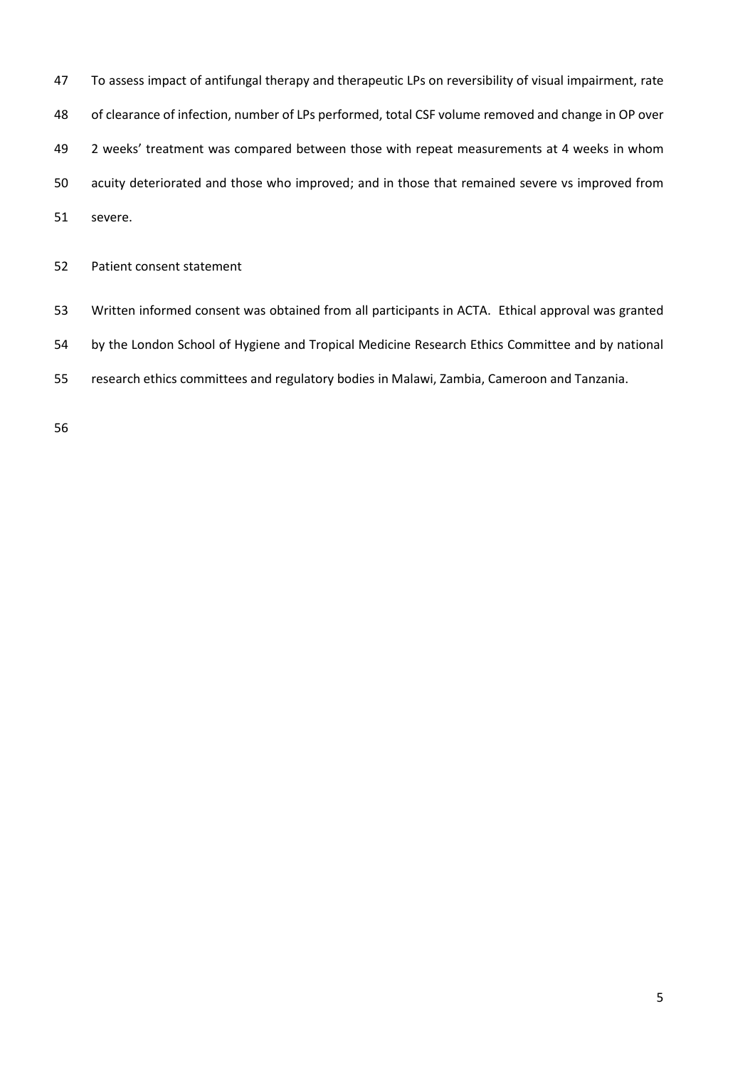To assess impact of antifungal therapy and therapeutic LPs on reversibility of visual impairment, rate of clearance of infection, number of LPs performed, total CSF volume removed and change in OP over 2 weeks' treatment was compared between those with repeat measurements at 4 weeks in whom acuity deteriorated and those who improved; and in those that remained severe vs improved from severe.

Patient consent statement

Written informed consent was obtained from all participants in ACTA.Ethical approval was granted

by the London School of Hygiene and Tropical Medicine Research Ethics Committee and by national

research ethics committees and regulatory bodies in Malawi, Zambia, Cameroon and Tanzania.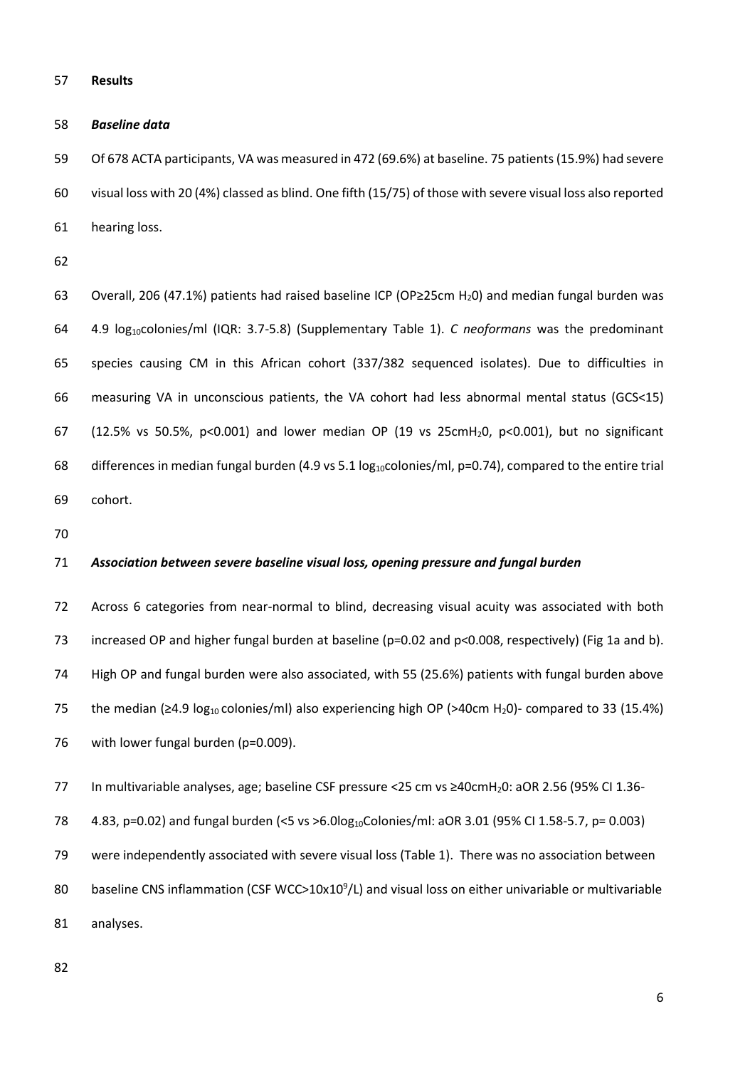#### **Results**

#### *Baseline data*

 Of 678 ACTA participants, VA was measured in 472 (69.6%) at baseline. 75 patients (15.9%) had severe visual loss with 20 (4%) classed as blind. One fifth (15/75) of those with severe visual loss also reported hearing loss.

63 Overall, 206 (47.1%) patients had raised baseline ICP (OP≥25cm H<sub>2</sub>0) and median fungal burden was 4.9 log10colonies/ml (IQR: 3.7-5.8) (Supplementary Table 1). *C neoformans* was the predominant species causing CM in this African cohort (337/382 sequenced isolates). Due to difficulties in measuring VA in unconscious patients, the VA cohort had less abnormal mental status (GCS<15) (12.5% vs 50.5%, p<0.001) and lower median OP (19 vs 25cmH20, p<0.001), but no significant 68 differences in median fungal burden (4.9 vs 5.1 log<sub>10</sub>colonies/ml, p=0.74), compared to the entire trial cohort.

#### *Association between severe baseline visual loss, opening pressure and fungal burden*

 Across 6 categories from near-normal to blind, decreasing visual acuity was associated with both increased OP and higher fungal burden at baseline (p=0.02 and p<0.008, respectively) (Fig 1a and b). High OP and fungal burden were also associated, with 55 (25.6%) patients with fungal burden above 75 the median ( $\geq$ 4.9 log<sub>10</sub> colonies/ml) also experiencing high OP (>40cm H<sub>2</sub>0)- compared to 33 (15.4%) 76 with lower fungal burden (p=0.009).

In multivariable analyses, age; baseline CSF pressure <25 cm vs ≥40cmH20: aOR 2.56 (95% CI 1.36-

78 4.83, p=0.02) and fungal burden (<5 vs >6.0log<sub>10</sub>Colonies/ml: aOR 3.01 (95% CI 1.58-5.7, p= 0.003)

were independently associated with severe visual loss (Table 1). There was no association between

80 baseline CNS inflammation (CSF WCC>10x10 $^9$ /L) and visual loss on either univariable or multivariable

analyses.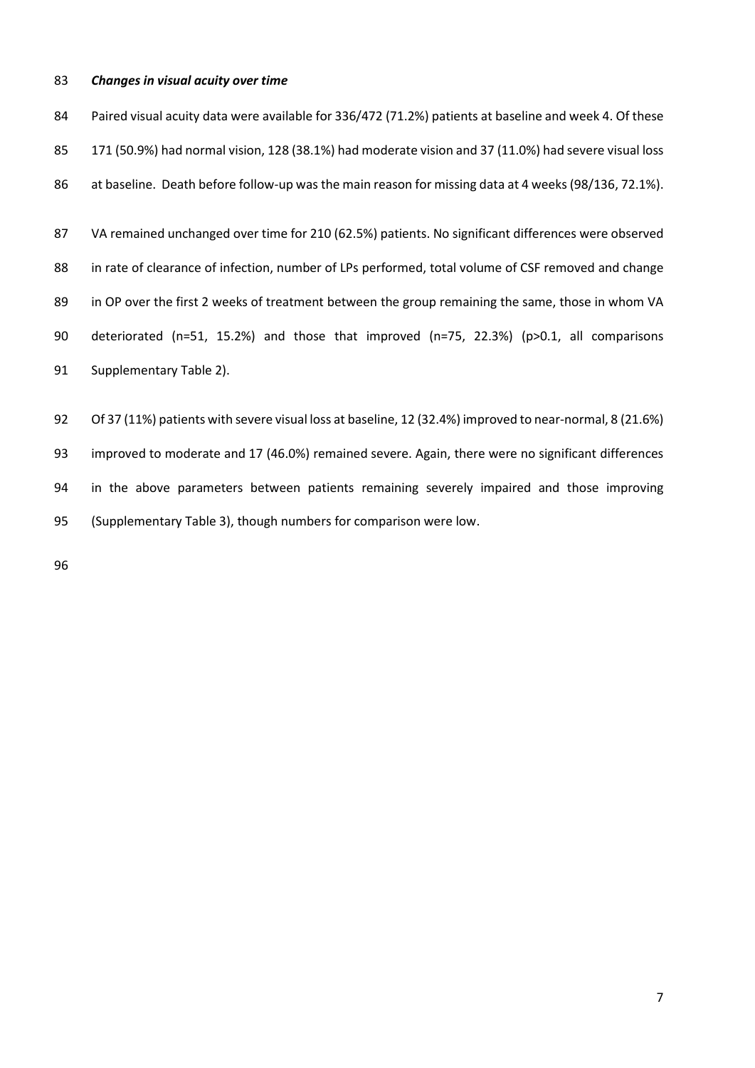### *Changes in visual acuity over time*

 Paired visual acuity data were available for 336/472 (71.2%) patients at baseline and week 4. Of these 171 (50.9%) had normal vision, 128 (38.1%) had moderate vision and 37 (11.0%) had severe visual loss 86 at baseline. Death before follow-up was the main reason for missing data at 4 weeks (98/136, 72.1%).

 VA remained unchanged over time for 210 (62.5%) patients. No significant differences were observed 88 in rate of clearance of infection, number of LPs performed, total volume of CSF removed and change in OP over the first 2 weeks of treatment between the group remaining the same, those in whom VA deteriorated (n=51, 15.2%) and those that improved (n=75, 22.3%) (p>0.1, all comparisons Supplementary Table 2).

 Of 37 (11%) patients with severe visual loss at baseline, 12 (32.4%) improved to near-normal, 8 (21.6%) improved to moderate and 17 (46.0%) remained severe. Again, there were no significant differences in the above parameters between patients remaining severely impaired and those improving (Supplementary Table 3), though numbers for comparison were low.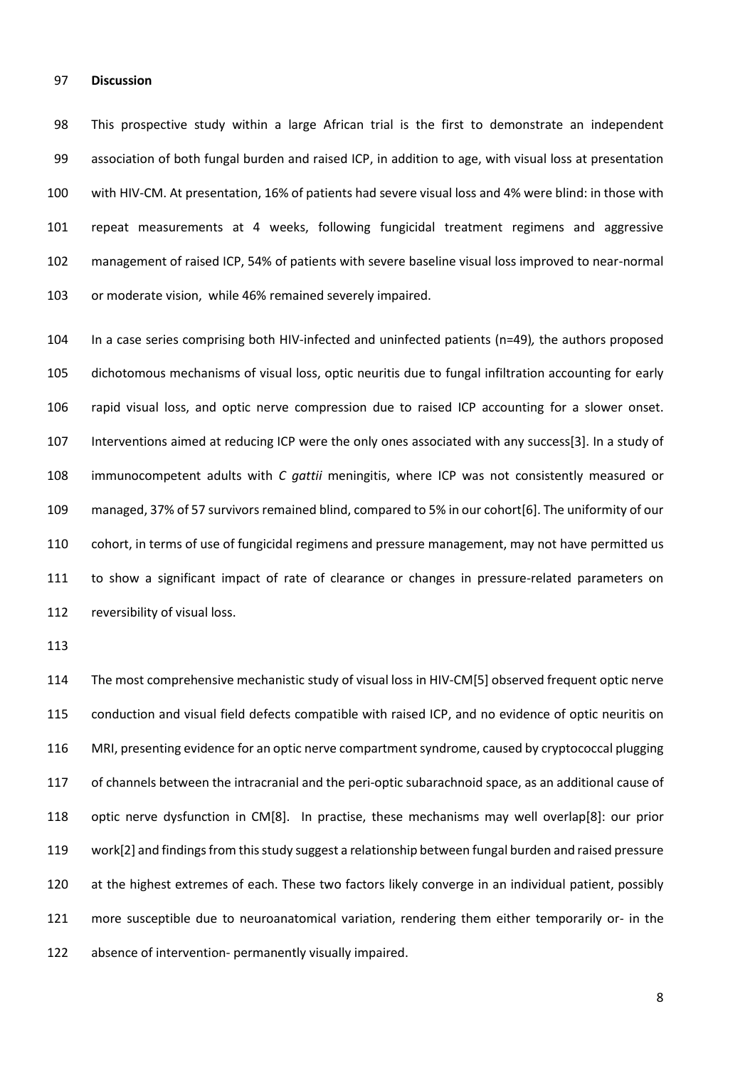#### **Discussion**

 This prospective study within a large African trial is the first to demonstrate an independent association of both fungal burden and raised ICP, in addition to age, with visual loss at presentation with HIV-CM. At presentation, 16% of patients had severe visual loss and 4% were blind: in those with repeat measurements at 4 weeks, following fungicidal treatment regimens and aggressive management of raised ICP, 54% of patients with severe baseline visual loss improved to near-normal or moderate vision, while 46% remained severely impaired.

 In a case series comprising both HIV-infected and uninfected patients (n=49)*,* the authors proposed dichotomous mechanisms of visual loss, optic neuritis due to fungal infiltration accounting for early rapid visual loss, and optic nerve compression due to raised ICP accounting for a slower onset. Interventions aimed at reducing ICP were the only ones associated with any success[3]. In a study of immunocompetent adults with *C gattii* meningitis, where ICP was not consistently measured or managed, 37% of 57 survivors remained blind, compared to 5% in our cohort[6]. The uniformity of our cohort, in terms of use of fungicidal regimens and pressure management, may not have permitted us to show a significant impact of rate of clearance or changes in pressure-related parameters on reversibility of visual loss.

 The most comprehensive mechanistic study of visual loss in HIV-CM[5] observed frequent optic nerve conduction and visual field defects compatible with raised ICP, and no evidence of optic neuritis on MRI, presenting evidence for an optic nerve compartment syndrome, caused by cryptococcal plugging of channels between the intracranial and the peri-optic subarachnoid space, as an additional cause of optic nerve dysfunction in CM[8]. In practise, these mechanisms may well overlap[8]: our prior work[2] and findings from this study suggest a relationship between fungal burden and raised pressure at the highest extremes of each. These two factors likely converge in an individual patient, possibly more susceptible due to neuroanatomical variation, rendering them either temporarily or- in the absence of intervention- permanently visually impaired.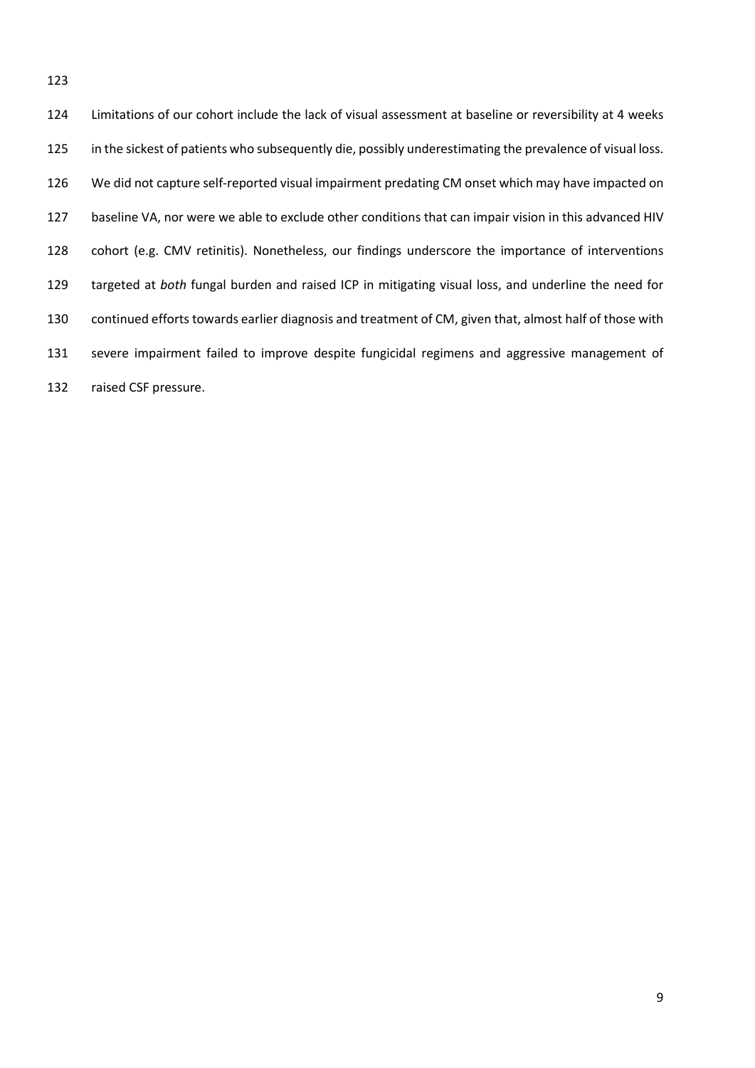Limitations of our cohort include the lack of visual assessment at baseline or reversibility at 4 weeks 125 in the sickest of patients who subsequently die, possibly underestimating the prevalence of visual loss. We did not capture self-reported visual impairment predating CM onset which may have impacted on baseline VA, nor were we able to exclude other conditions that can impair vision in this advanced HIV cohort (e.g. CMV retinitis). Nonetheless, our findings underscore the importance of interventions targeted at *both* fungal burden and raised ICP in mitigating visual loss, and underline the need for continued efforts towards earlier diagnosis and treatment of CM, given that, almost half of those with severe impairment failed to improve despite fungicidal regimens and aggressive management of raised CSF pressure.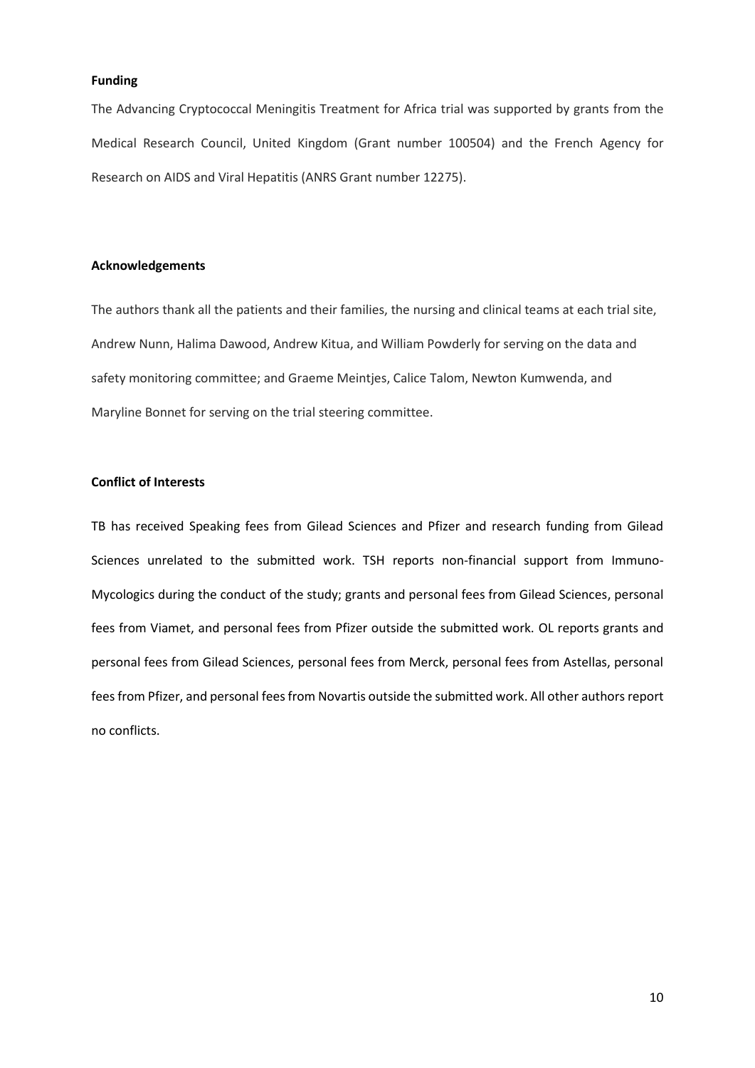## **Funding**

The Advancing Cryptococcal Meningitis Treatment for Africa trial was supported by grants from the Medical Research Council, United Kingdom (Grant number 100504) and the French Agency for Research on AIDS and Viral Hepatitis (ANRS Grant number 12275).

#### **Acknowledgements**

The authors thank all the patients and their families, the nursing and clinical teams at each trial site, Andrew Nunn, Halima Dawood, Andrew Kitua, and William Powderly for serving on the data and safety monitoring committee; and Graeme Meintjes, Calice Talom, Newton Kumwenda, and Maryline Bonnet for serving on the trial steering committee.

## **Conflict of Interests**

TB has received Speaking fees from Gilead Sciences and Pfizer and research funding from Gilead Sciences unrelated to the submitted work. TSH reports non-financial support from Immuno-Mycologics during the conduct of the study; grants and personal fees from Gilead Sciences, personal fees from Viamet, and personal fees from Pfizer outside the submitted work. OL reports grants and personal fees from Gilead Sciences, personal fees from Merck, personal fees from Astellas, personal fees from Pfizer, and personal fees from Novartis outside the submitted work. All other authors report no conflicts.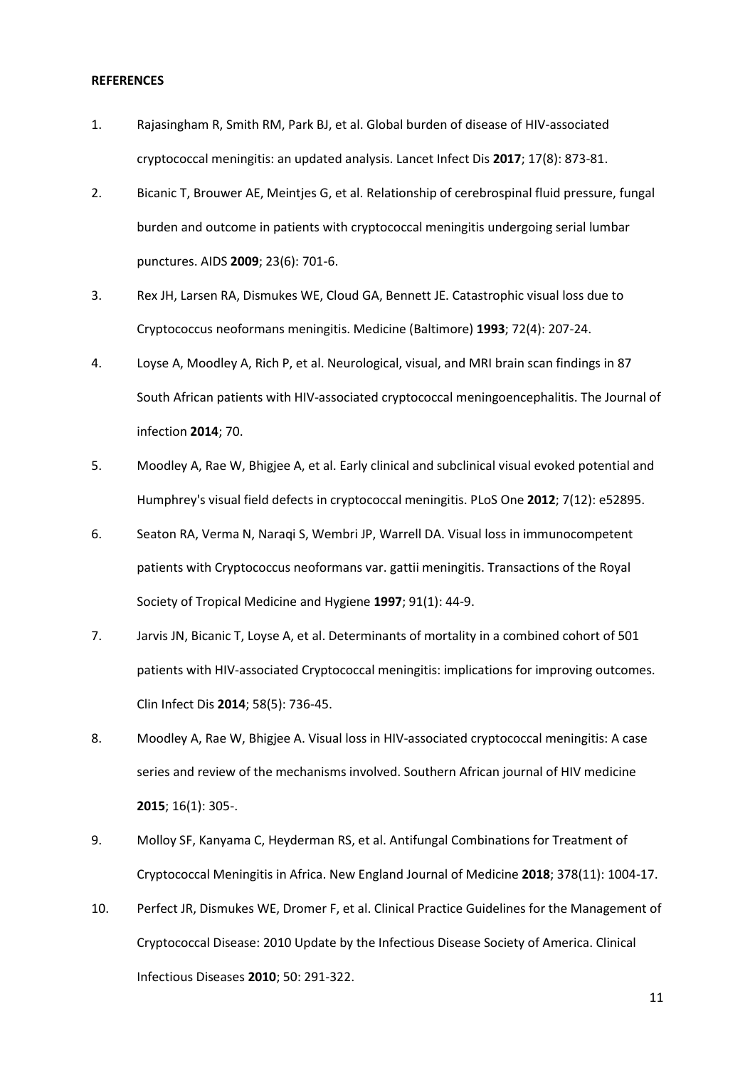### **REFERENCES**

- 1. Rajasingham R, Smith RM, Park BJ, et al. Global burden of disease of HIV-associated cryptococcal meningitis: an updated analysis. Lancet Infect Dis **2017**; 17(8): 873-81.
- 2. Bicanic T, Brouwer AE, Meintjes G, et al. Relationship of cerebrospinal fluid pressure, fungal burden and outcome in patients with cryptococcal meningitis undergoing serial lumbar punctures. AIDS **2009**; 23(6): 701-6.
- 3. Rex JH, Larsen RA, Dismukes WE, Cloud GA, Bennett JE. Catastrophic visual loss due to Cryptococcus neoformans meningitis. Medicine (Baltimore) **1993**; 72(4): 207-24.
- 4. Loyse A, Moodley A, Rich P, et al. Neurological, visual, and MRI brain scan findings in 87 South African patients with HIV-associated cryptococcal meningoencephalitis. The Journal of infection **2014**; 70.
- 5. Moodley A, Rae W, Bhigjee A, et al. Early clinical and subclinical visual evoked potential and Humphrey's visual field defects in cryptococcal meningitis. PLoS One **2012**; 7(12): e52895.
- 6. Seaton RA, Verma N, Naraqi S, Wembri JP, Warrell DA. Visual loss in immunocompetent patients with Cryptococcus neoformans var. gattii meningitis. Transactions of the Royal Society of Tropical Medicine and Hygiene **1997**; 91(1): 44-9.
- 7. Jarvis JN, Bicanic T, Loyse A, et al. Determinants of mortality in a combined cohort of 501 patients with HIV-associated Cryptococcal meningitis: implications for improving outcomes. Clin Infect Dis **2014**; 58(5): 736-45.
- 8. Moodley A, Rae W, Bhigjee A. Visual loss in HIV-associated cryptococcal meningitis: A case series and review of the mechanisms involved. Southern African journal of HIV medicine **2015**; 16(1): 305-.
- 9. Molloy SF, Kanyama C, Heyderman RS, et al. Antifungal Combinations for Treatment of Cryptococcal Meningitis in Africa. New England Journal of Medicine **2018**; 378(11): 1004-17.
- 10. Perfect JR, Dismukes WE, Dromer F, et al. Clinical Practice Guidelines for the Management of Cryptococcal Disease: 2010 Update by the Infectious Disease Society of America. Clinical Infectious Diseases **2010**; 50: 291-322.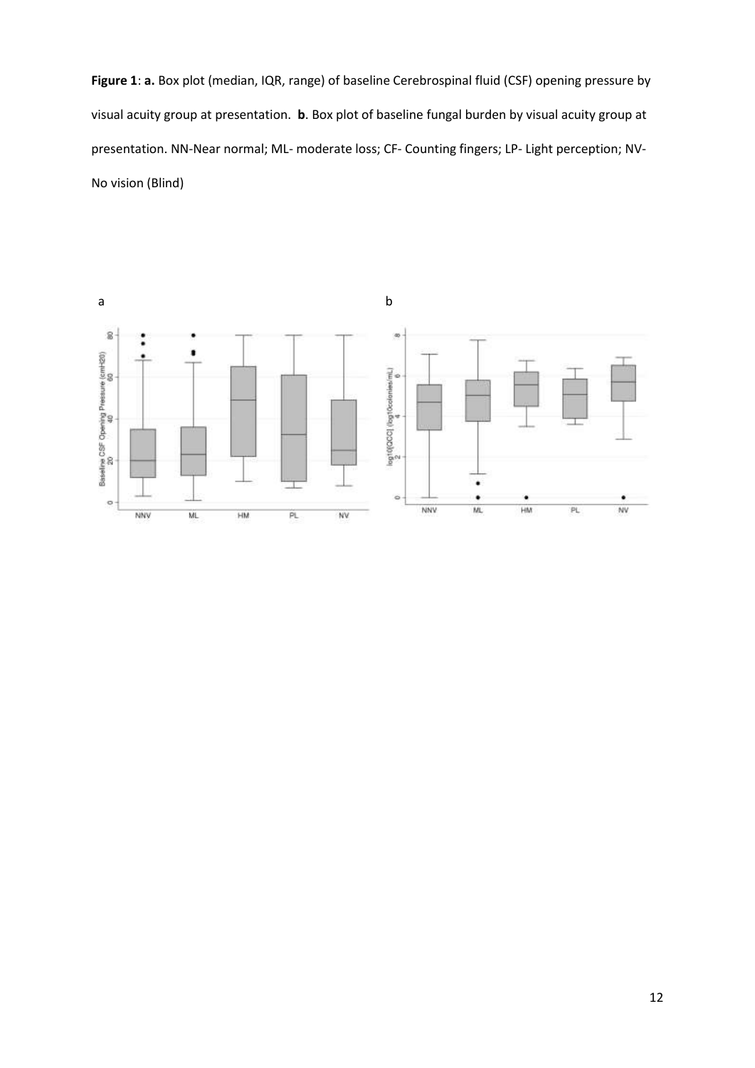**Figure 1**: **a.** Box plot (median, IQR, range) of baseline Cerebrospinal fluid (CSF) opening pressure by visual acuity group at presentation. **b**. Box plot of baseline fungal burden by visual acuity group at presentation. NN-Near normal; ML- moderate loss; CF- Counting fingers; LP- Light perception; NV-No vision (Blind)